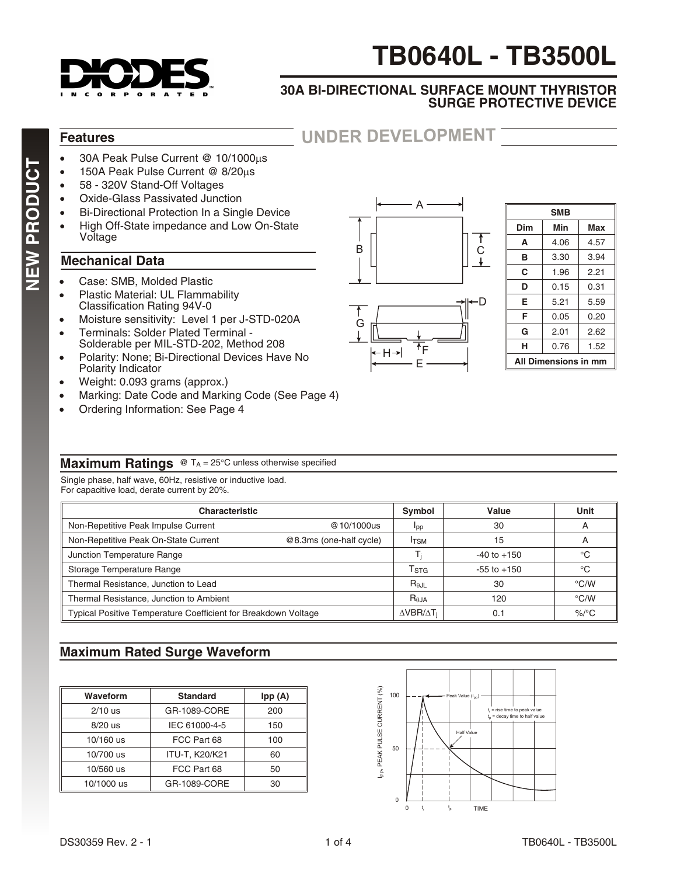

# **TB0640L - TB3500L**

#### **30A BI-DIRECTIONAL SURFACE MOUNT THYRISTOR SURGE PROTECTIVE DEVICE**

#### **Features**

30A Peak Pulse Current @ 10/1000 s 150A Peak Pulse Current @ 8/20 s 58 - 320V Stand-Off Voltages Oxide-Glass Passivated Junction Bi-Directional Protection In a Single Device High Off-State impedance and Low On-State Voltage

#### **Mechanical Data**

Case: SMB, Molded Plastic Plastic Material: UL Flammability Classification Rating 94V-0 Moisture sensitivity: Level 1 per J-STD-020A Terminals: Solder Plated Terminal - Solderable per MIL-STD-202, Method 208 Polarity: None; Bi-Directional Devices Have No Polarity Indicator Weight: 0.093 grams (approx.) Marking: Date Code and Marking Code (See Page 4) Ordering Information: See Page 4



**UNDER DEVELOPMENT**

E

 $H \rightarrow$ 

| <b>SMB</b>           |      |      |  |  |
|----------------------|------|------|--|--|
| Dim                  | Min  | Max  |  |  |
| A                    | 4.06 | 4.57 |  |  |
| в                    | 3.30 | 3.94 |  |  |
| С                    | 1.96 | 2.21 |  |  |
| D                    | 0.15 | 0.31 |  |  |
| Е                    | 5.21 | 5.59 |  |  |
| F                    | 0.05 | 0.20 |  |  |
| G                    | 2.01 | 2.62 |  |  |
| н                    | 0.76 | 1.52 |  |  |
| All Dimensions in mm |      |      |  |  |

#### **Maximum Ratings** @ T<sub>A</sub> = 25 C unless otherwise specified

Single phase, half wave, 60Hz, resistive or inductive load. For capacitive load, derate current by 20%.

| <b>Characteristic</b>                                          |                         |                           | Value           | Unit          |
|----------------------------------------------------------------|-------------------------|---------------------------|-----------------|---------------|
| Non-Repetitive Peak Impulse Current                            | @10/1000us              | Ipp                       | 30              | A             |
| Non-Repetitive Peak On-State Current                           | @8.3ms (one-half cycle) | <b>I</b> T <sub>SM</sub>  | 15              | A             |
| Junction Temperature Range                                     |                         |                           | $-40$ to $+150$ |               |
| Storage Temperature Range                                      |                         | $\mathsf{T}_{\text{STG}}$ | $-55$ to $+150$ |               |
| Thermal Resistance, Junction to Lead                           |                         | $R_{JL}$                  | 30              | $\degree$ C/W |
| Thermal Resistance, Junction to Ambient                        |                         |                           | 120             | $\degree$ C/W |
| Typical Positive Temperature Coefficient for Breakdown Voltage |                         |                           | 0.1             | $\%$ /°C      |

#### **Maximum Rated Surge Waveform**

| Waveform   | <b>Standard</b> | Ipp (A) |
|------------|-----------------|---------|
| $2/10$ us  | GR-1089-CORE    | 200     |
| $8/20$ us  | IEC 61000-4-5   | 150     |
| 10/160 us  | FCC Part 68     | 100     |
| 10/700 us  | ITU-T, K20/K21  | 60      |
| 10/560 us  | FCC Part 68     | 50      |
| 10/1000 us | GR-1089-CORE    | 30      |

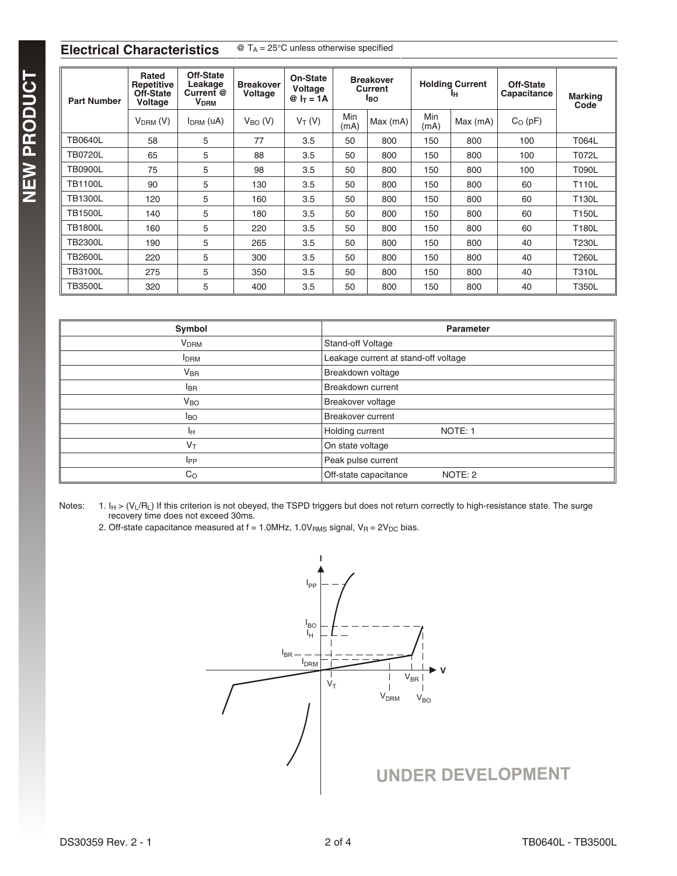#### **Electrical Characteristics** @ T<sub>A</sub> = 25 C unless otherwise specified

| <b>Part Number</b> | Rated<br>Repetitive<br>Off-State<br>Voltage | Off-State<br>Leakage<br>Current @<br><b>V<sub>DRM</sub></b> | <b>Breakover</b><br>Voltage | <b>On-State</b><br>Voltage<br>$@ I_T = 1A$ |             | <b>Breakover</b><br>Current<br><b>I</b> BO |             | <b>Holding Current</b><br>Iн | Off-State<br>Capacitance | <b>Marking</b><br>Code |
|--------------------|---------------------------------------------|-------------------------------------------------------------|-----------------------------|--------------------------------------------|-------------|--------------------------------------------|-------------|------------------------------|--------------------------|------------------------|
|                    | $VDRM$ (V)                                  | $IDRM$ (uA)                                                 | $V_{BO} (V)$                | $V_T(V)$                                   | Min<br>(mA) | Max (mA)                                   | Min<br>(mA) | Max (mA)                     | $C_O$ (pF)               |                        |
| <b>TB0640L</b>     | 58                                          | 5                                                           | 77                          | 3.5                                        | 50          | 800                                        | 150         | 800                          | 100                      | T064L                  |
| <b>TB0720L</b>     | 65                                          | 5                                                           | 88                          | 3.5                                        | 50          | 800                                        | 150         | 800                          | 100                      | T072L                  |
| <b>TB0900L</b>     | 75                                          | 5                                                           | 98                          | 3.5                                        | 50          | 800                                        | 150         | 800                          | 100                      | <b>T090L</b>           |
| <b>TB1100L</b>     | 90                                          | 5                                                           | 130                         | 3.5                                        | 50          | 800                                        | 150         | 800                          | 60                       | <b>T110L</b>           |
| <b>TB1300L</b>     | 120                                         | 5                                                           | 160                         | 3.5                                        | 50          | 800                                        | 150         | 800                          | 60                       | T130L                  |
| <b>TB1500L</b>     | 140                                         | 5                                                           | 180                         | 3.5                                        | 50          | 800                                        | 150         | 800                          | 60                       | T150L                  |
| <b>TB1800L</b>     | 160                                         | 5                                                           | 220                         | 3.5                                        | 50          | 800                                        | 150         | 800                          | 60                       | T180L                  |
| <b>TB2300L</b>     | 190                                         | 5                                                           | 265                         | 3.5                                        | 50          | 800                                        | 150         | 800                          | 40                       | T230L                  |
| <b>TB2600L</b>     | 220                                         | 5                                                           | 300                         | 3.5                                        | 50          | 800                                        | 150         | 800                          | 40                       | T260L                  |
| <b>TB3100L</b>     | 275                                         | 5                                                           | 350                         | 3.5                                        | 50          | 800                                        | 150         | 800                          | 40                       | <b>T310L</b>           |
| <b>TB3500L</b>     | 320                                         | 5                                                           | 400                         | 3.5                                        | 50          | 800                                        | 150         | 800                          | 40                       | <b>T350L</b>           |

| Symbol                 | <b>Parameter</b>                     |  |  |
|------------------------|--------------------------------------|--|--|
| <b>V<sub>DRM</sub></b> | Stand-off Voltage                    |  |  |
| <b>I</b> DRM           | Leakage current at stand-off voltage |  |  |
| V <sub>BR</sub>        | Breakdown voltage                    |  |  |
| <b>I</b> BR            | Breakdown current                    |  |  |
| $V_{BO}$               | Breakover voltage                    |  |  |
| Iво                    | <b>Breakover current</b>             |  |  |
| Iн                     | Holding current<br>NOTE: 1           |  |  |
| $V_T$                  | On state voltage                     |  |  |
| IPP                    | Peak pulse current                   |  |  |
| $C_{\rm O}$            | Off-state capacitance<br>NOTE: 2     |  |  |

Notes: 1. I<sub>H</sub> > (V<sub>L</sub>/R<sub>L</sub>) If this criterion is not obeyed, the TSPD triggers but does not return correctly to high-resistance state. The surge recovery time does not exceed 30ms.

2. Off-state capacitance measured at  $f = 1.0$ MHz,  $1.0V_{RMS}$  signal,  $V_R = 2V_{DC}$  bias.

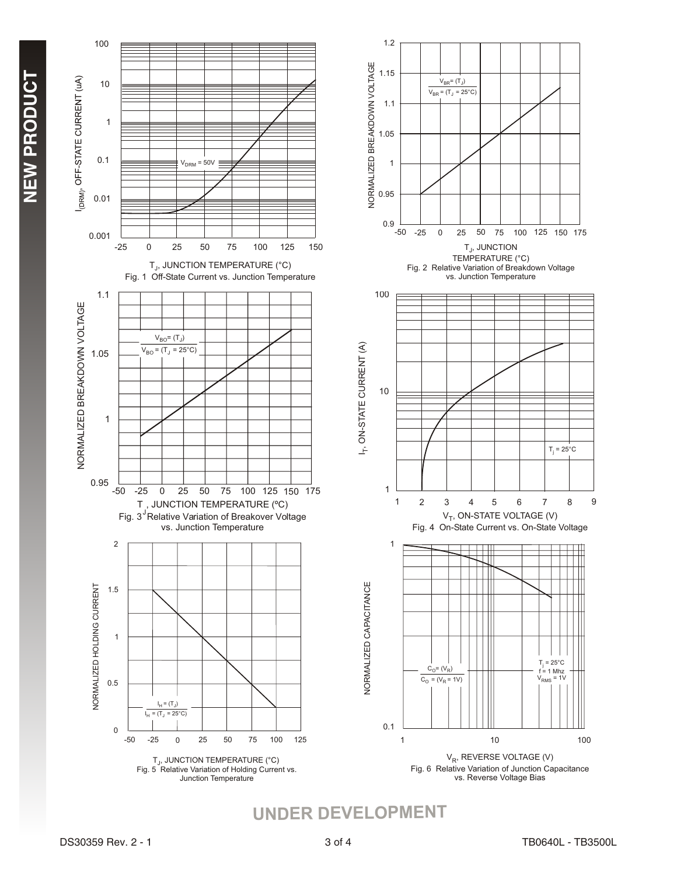





**UNDER DEVELOPMENT**